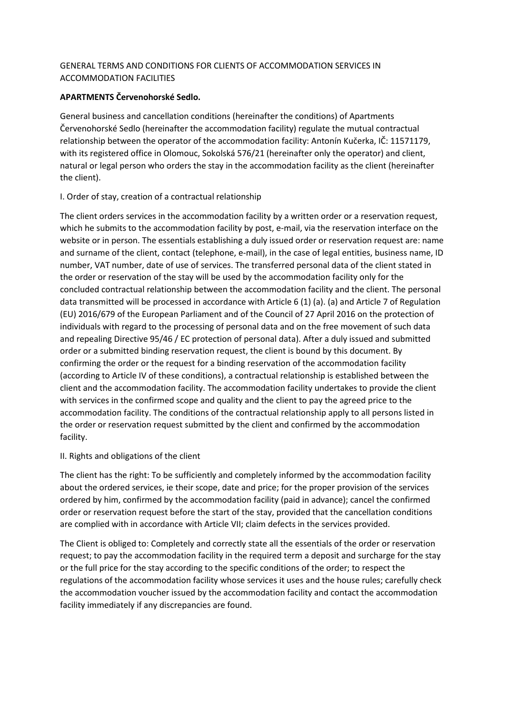# GENERAL TERMS AND CONDITIONS FOR CLIENTS OF ACCOMMODATION SERVICES IN ACCOMMODATION FACILITIES

## **APARTMENTS Červenohorské Sedlo.**

General business and cancellation conditions (hereinafter the conditions) of Apartments Červenohorské Sedlo (hereinafter the accommodation facility) regulate the mutual contractual relationship between the operator of the accommodation facility: Antonín Kučerka, IČ: 11571179, with its registered office in Olomouc, Sokolská 576/21 (hereinafter only the operator) and client, natural or legal person who orders the stay in the accommodation facility as the client (hereinafter the client).

## I. Order of stay, creation of a contractual relationship

The client orders services in the accommodation facility by a written order or a reservation request, which he submits to the accommodation facility by post, e-mail, via the reservation interface on the website or in person. The essentials establishing a duly issued order or reservation request are: name and surname of the client, contact (telephone, e-mail), in the case of legal entities, business name, ID number, VAT number, date of use of services. The transferred personal data of the client stated in the order or reservation of the stay will be used by the accommodation facility only for the concluded contractual relationship between the accommodation facility and the client. The personal data transmitted will be processed in accordance with Article 6 (1) (a). (a) and Article 7 of Regulation (EU) 2016/679 of the European Parliament and of the Council of 27 April 2016 on the protection of individuals with regard to the processing of personal data and on the free movement of such data and repealing Directive 95/46 / EC protection of personal data). After a duly issued and submitted order or a submitted binding reservation request, the client is bound by this document. By confirming the order or the request for a binding reservation of the accommodation facility (according to Article IV of these conditions), a contractual relationship is established between the client and the accommodation facility. The accommodation facility undertakes to provide the client with services in the confirmed scope and quality and the client to pay the agreed price to the accommodation facility. The conditions of the contractual relationship apply to all persons listed in the order or reservation request submitted by the client and confirmed by the accommodation facility.

## II. Rights and obligations of the client

The client has the right: To be sufficiently and completely informed by the accommodation facility about the ordered services, ie their scope, date and price; for the proper provision of the services ordered by him, confirmed by the accommodation facility (paid in advance); cancel the confirmed order or reservation request before the start of the stay, provided that the cancellation conditions are complied with in accordance with Article VII; claim defects in the services provided.

The Client is obliged to: Completely and correctly state all the essentials of the order or reservation request; to pay the accommodation facility in the required term a deposit and surcharge for the stay or the full price for the stay according to the specific conditions of the order; to respect the regulations of the accommodation facility whose services it uses and the house rules; carefully check the accommodation voucher issued by the accommodation facility and contact the accommodation facility immediately if any discrepancies are found.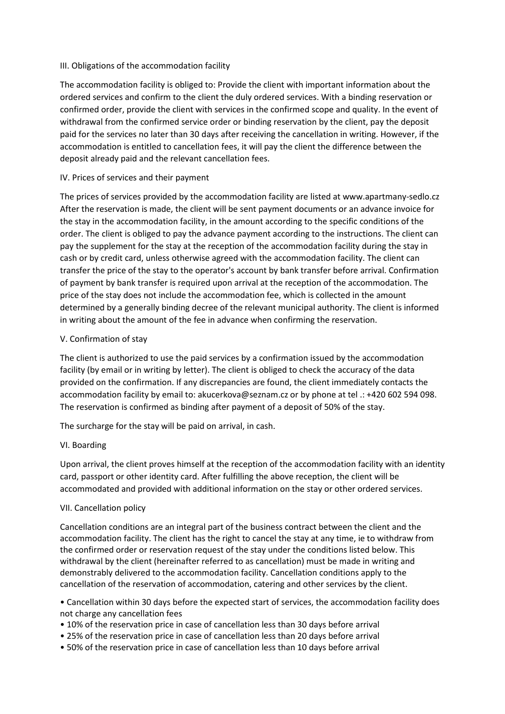## III. Obligations of the accommodation facility

The accommodation facility is obliged to: Provide the client with important information about the ordered services and confirm to the client the duly ordered services. With a binding reservation or confirmed order, provide the client with services in the confirmed scope and quality. In the event of withdrawal from the confirmed service order or binding reservation by the client, pay the deposit paid for the services no later than 30 days after receiving the cancellation in writing. However, if the accommodation is entitled to cancellation fees, it will pay the client the difference between the deposit already paid and the relevant cancellation fees.

### IV. Prices of services and their payment

The prices of services provided by the accommodation facility are listed at www.apartmany-sedlo.cz After the reservation is made, the client will be sent payment documents or an advance invoice for the stay in the accommodation facility, in the amount according to the specific conditions of the order. The client is obliged to pay the advance payment according to the instructions. The client can pay the supplement for the stay at the reception of the accommodation facility during the stay in cash or by credit card, unless otherwise agreed with the accommodation facility. The client can transfer the price of the stay to the operator's account by bank transfer before arrival. Confirmation of payment by bank transfer is required upon arrival at the reception of the accommodation. The price of the stay does not include the accommodation fee, which is collected in the amount determined by a generally binding decree of the relevant municipal authority. The client is informed in writing about the amount of the fee in advance when confirming the reservation.

#### V. Confirmation of stay

The client is authorized to use the paid services by a confirmation issued by the accommodation facility (by email or in writing by letter). The client is obliged to check the accuracy of the data provided on the confirmation. If any discrepancies are found, the client immediately contacts the accommodation facility by email to: akucerkova@seznam.cz or by phone at tel .: +420 602 594 098. The reservation is confirmed as binding after payment of a deposit of 50% of the stay.

The surcharge for the stay will be paid on arrival, in cash.

## VI. Boarding

Upon arrival, the client proves himself at the reception of the accommodation facility with an identity card, passport or other identity card. After fulfilling the above reception, the client will be accommodated and provided with additional information on the stay or other ordered services.

## VII. Cancellation policy

Cancellation conditions are an integral part of the business contract between the client and the accommodation facility. The client has the right to cancel the stay at any time, ie to withdraw from the confirmed order or reservation request of the stay under the conditions listed below. This withdrawal by the client (hereinafter referred to as cancellation) must be made in writing and demonstrably delivered to the accommodation facility. Cancellation conditions apply to the cancellation of the reservation of accommodation, catering and other services by the client.

• Cancellation within 30 days before the expected start of services, the accommodation facility does not charge any cancellation fees

- 10% of the reservation price in case of cancellation less than 30 days before arrival
- 25% of the reservation price in case of cancellation less than 20 days before arrival
- 50% of the reservation price in case of cancellation less than 10 days before arrival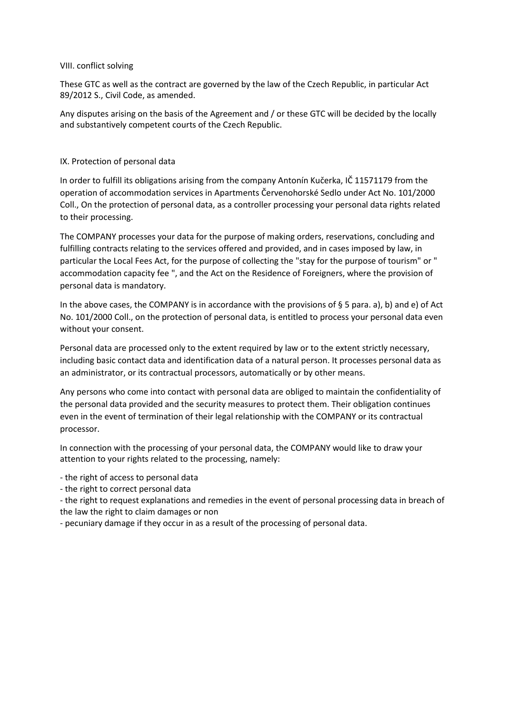## VIII. conflict solving

These GTC as well as the contract are governed by the law of the Czech Republic, in particular Act 89/2012 S., Civil Code, as amended.

Any disputes arising on the basis of the Agreement and / or these GTC will be decided by the locally and substantively competent courts of the Czech Republic.

#### IX. Protection of personal data

In order to fulfill its obligations arising from the company Antonín Kučerka, IČ 11571179 from the operation of accommodation services in Apartments Červenohorské Sedlo under Act No. 101/2000 Coll., On the protection of personal data, as a controller processing your personal data rights related to their processing.

The COMPANY processes your data for the purpose of making orders, reservations, concluding and fulfilling contracts relating to the services offered and provided, and in cases imposed by law, in particular the Local Fees Act, for the purpose of collecting the "stay for the purpose of tourism" or " accommodation capacity fee ", and the Act on the Residence of Foreigners, where the provision of personal data is mandatory.

In the above cases, the COMPANY is in accordance with the provisions of § 5 para. a), b) and e) of Act No. 101/2000 Coll., on the protection of personal data, is entitled to process your personal data even without your consent.

Personal data are processed only to the extent required by law or to the extent strictly necessary, including basic contact data and identification data of a natural person. It processes personal data as an administrator, or its contractual processors, automatically or by other means.

Any persons who come into contact with personal data are obliged to maintain the confidentiality of the personal data provided and the security measures to protect them. Their obligation continues even in the event of termination of their legal relationship with the COMPANY or its contractual processor.

In connection with the processing of your personal data, the COMPANY would like to draw your attention to your rights related to the processing, namely:

- the right of access to personal data

- the right to correct personal data

- the right to request explanations and remedies in the event of personal processing data in breach of the law the right to claim damages or non

- pecuniary damage if they occur in as a result of the processing of personal data.